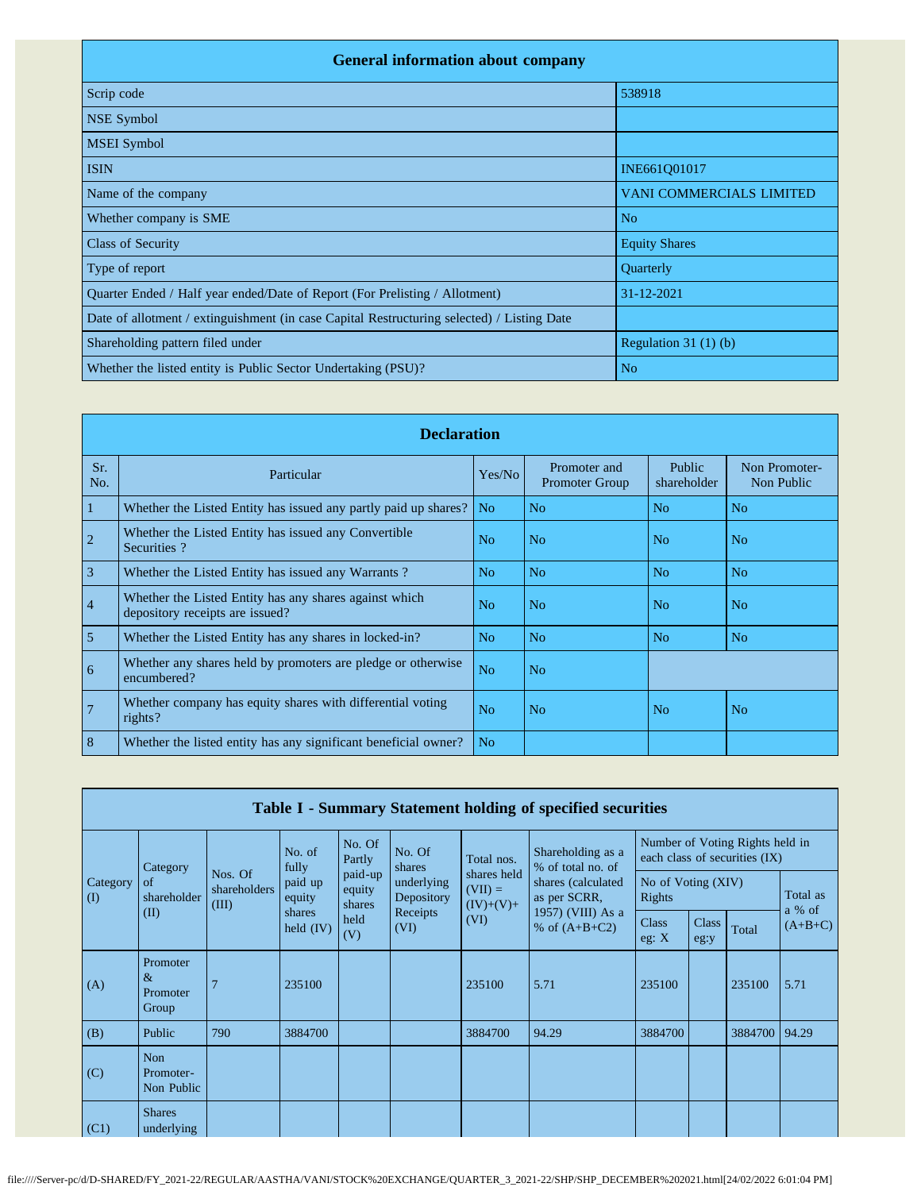| <b>General information about company</b>                                                   |                                 |  |  |  |  |  |  |  |  |
|--------------------------------------------------------------------------------------------|---------------------------------|--|--|--|--|--|--|--|--|
| Scrip code                                                                                 | 538918                          |  |  |  |  |  |  |  |  |
| NSE Symbol                                                                                 |                                 |  |  |  |  |  |  |  |  |
| <b>MSEI</b> Symbol                                                                         |                                 |  |  |  |  |  |  |  |  |
| <b>ISIN</b>                                                                                | INE661Q01017                    |  |  |  |  |  |  |  |  |
| Name of the company                                                                        | <b>VANI COMMERCIALS LIMITED</b> |  |  |  |  |  |  |  |  |
| Whether company is SME                                                                     | N <sub>o</sub>                  |  |  |  |  |  |  |  |  |
| <b>Class of Security</b>                                                                   | <b>Equity Shares</b>            |  |  |  |  |  |  |  |  |
| Type of report                                                                             | Quarterly                       |  |  |  |  |  |  |  |  |
| Quarter Ended / Half year ended/Date of Report (For Prelisting / Allotment)                | 31-12-2021                      |  |  |  |  |  |  |  |  |
| Date of allotment / extinguishment (in case Capital Restructuring selected) / Listing Date |                                 |  |  |  |  |  |  |  |  |
| Shareholding pattern filed under                                                           | Regulation $31(1)(b)$           |  |  |  |  |  |  |  |  |
| Whether the listed entity is Public Sector Undertaking (PSU)?                              | N <sub>o</sub>                  |  |  |  |  |  |  |  |  |

|                | <b>Declaration</b>                                                                        |                |                                       |                       |                             |  |  |  |  |  |
|----------------|-------------------------------------------------------------------------------------------|----------------|---------------------------------------|-----------------------|-----------------------------|--|--|--|--|--|
| Sr.<br>No.     | Particular                                                                                | Yes/No         | Promoter and<br><b>Promoter Group</b> | Public<br>shareholder | Non Promoter-<br>Non Public |  |  |  |  |  |
| 1              | Whether the Listed Entity has issued any partly paid up shares?                           | N <sub>o</sub> | N <sub>0</sub>                        | N <sub>0</sub>        | N <sub>o</sub>              |  |  |  |  |  |
| $\overline{c}$ | Whether the Listed Entity has issued any Convertible<br>Securities?                       | No             | N <sub>o</sub>                        | N <sub>o</sub>        | No                          |  |  |  |  |  |
| 3              | Whether the Listed Entity has issued any Warrants?                                        | No             | N <sub>o</sub>                        | N <sub>o</sub>        | N <sub>o</sub>              |  |  |  |  |  |
| $\overline{4}$ | Whether the Listed Entity has any shares against which<br>depository receipts are issued? | N <sub>o</sub> | N <sub>o</sub>                        | N <sub>o</sub>        | N <sub>o</sub>              |  |  |  |  |  |
| $\overline{5}$ | Whether the Listed Entity has any shares in locked-in?                                    | No             | N <sub>o</sub>                        | N <sub>o</sub>        | N <sub>o</sub>              |  |  |  |  |  |
| 6              | Whether any shares held by promoters are pledge or otherwise<br>encumbered?               | N <sub>o</sub> | No                                    |                       |                             |  |  |  |  |  |
| 7              | Whether company has equity shares with differential voting<br>rights?                     | N <sub>o</sub> | N <sub>0</sub>                        | N <sub>o</sub>        | N <sub>o</sub>              |  |  |  |  |  |
| 8              | Whether the listed entity has any significant beneficial owner?                           | N <sub>0</sub> |                                       |                       |                             |  |  |  |  |  |

|                      | Table I - Summary Statement holding of specified securities |                                  |                                                     |                                            |                                              |                                                 |                                        |                              |                      |                                                                  |                    |
|----------------------|-------------------------------------------------------------|----------------------------------|-----------------------------------------------------|--------------------------------------------|----------------------------------------------|-------------------------------------------------|----------------------------------------|------------------------------|----------------------|------------------------------------------------------------------|--------------------|
|                      | Category                                                    |                                  |                                                     | No. Of<br>Partly                           | No. Of<br>shares                             | Total nos.                                      | Shareholding as a<br>% of total no. of |                              |                      | Number of Voting Rights held in<br>each class of securities (IX) |                    |
| Category<br>$\rm(D)$ | of<br>shareholder                                           | Nos. Of<br>shareholders<br>(III) | fully<br>paid up<br>equity<br>shares<br>held $(IV)$ | paid-up<br>equity<br>shares<br>held<br>(V) | underlying<br>Depository<br>Receipts<br>(VI) | shares held<br>$(VII) =$<br>$(IV)+(V)+$<br>(VI) | shares (calculated<br>as per SCRR,     | No of Voting (XIV)<br>Rights |                      |                                                                  | Total as<br>a % of |
|                      | (II)                                                        |                                  |                                                     |                                            |                                              |                                                 | 1957) (VIII) As a<br>% of $(A+B+C2)$   | <b>Class</b><br>eg: $X$      | <b>Class</b><br>eg:y | Total                                                            | $(A+B+C)$          |
| (A)                  | Promoter<br>$\&$<br>Promoter<br>Group                       |                                  | 235100                                              |                                            |                                              | 235100                                          | 5.71                                   | 235100                       |                      | 235100                                                           | 5.71               |
| (B)                  | Public                                                      | 790                              | 3884700                                             |                                            |                                              | 3884700                                         | 94.29                                  | 3884700                      |                      | 3884700                                                          | 94.29              |
| (C)                  | <b>Non</b><br>Promoter-<br>Non Public                       |                                  |                                                     |                                            |                                              |                                                 |                                        |                              |                      |                                                                  |                    |
| (C1)                 | <b>Shares</b><br>underlying                                 |                                  |                                                     |                                            |                                              |                                                 |                                        |                              |                      |                                                                  |                    |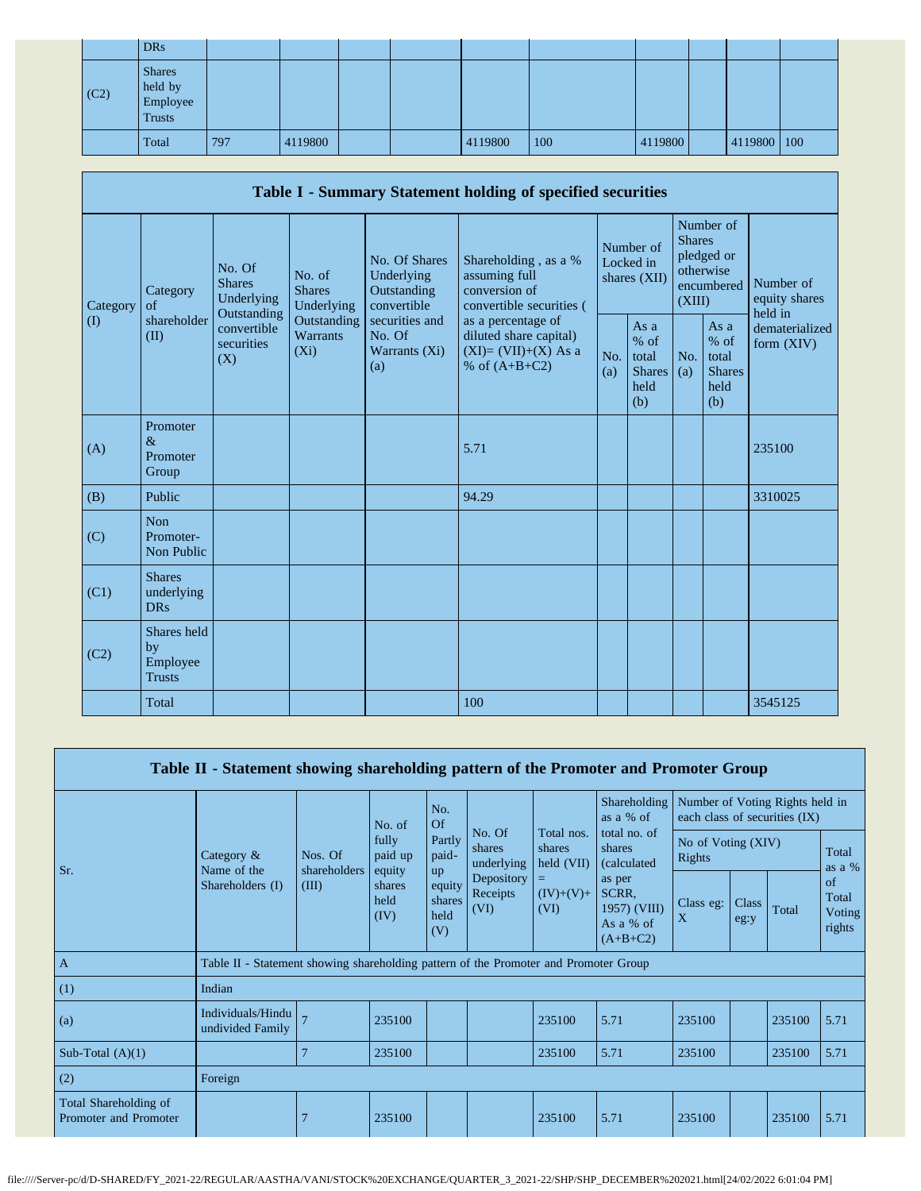|      | <b>DRs</b>                                            |     |         |  |         |     |         |             |  |
|------|-------------------------------------------------------|-----|---------|--|---------|-----|---------|-------------|--|
| (C2) | <b>Shares</b><br>held by<br>Employee<br><b>Trusts</b> |     |         |  |         |     |         |             |  |
|      | Total                                                 | 797 | 4119800 |  | 4119800 | 100 | 4119800 | 4119800 100 |  |

|                                        | Table I - Summary Statement holding of specified securities                  |                           |                                       |                                                           |                                                                                          |            |                                                         |                         |                                                         |                                       |
|----------------------------------------|------------------------------------------------------------------------------|---------------------------|---------------------------------------|-----------------------------------------------------------|------------------------------------------------------------------------------------------|------------|---------------------------------------------------------|-------------------------|---------------------------------------------------------|---------------------------------------|
| Category<br>$\left( \mathrm{I}\right)$ | <b>Shares</b><br>Category<br>of<br>Outstanding<br>shareholder<br>(II)<br>(X) | No. Of<br>Underlying      | No. of<br><b>Shares</b><br>Underlying | No. Of Shares<br>Underlying<br>Outstanding<br>convertible | Shareholding, as a %<br>assuming full<br>conversion of<br>convertible securities (       |            | Number of<br>Locked in<br>shares (XII)                  | <b>Shares</b><br>(XIII) | Number of<br>pledged or<br>otherwise<br>encumbered      | Number of<br>equity shares<br>held in |
|                                        |                                                                              | convertible<br>securities | Outstanding<br>Warrants<br>$(X_i)$    | securities and<br>No. Of<br>Warrants (Xi)<br>(a)          | as a percentage of<br>diluted share capital)<br>$(XI)=(VII)+(X)$ As a<br>% of $(A+B+C2)$ | No.<br>(a) | As a<br>$%$ of<br>total<br><b>Shares</b><br>held<br>(b) | No.<br>(a)              | As a<br>$%$ of<br>total<br><b>Shares</b><br>held<br>(b) | dematerialized<br>form $(XIV)$        |
| (A)                                    | Promoter<br>$\&$<br>Promoter<br>Group                                        |                           |                                       |                                                           | 5.71                                                                                     |            |                                                         |                         |                                                         | 235100                                |
| (B)                                    | Public                                                                       |                           |                                       |                                                           | 94.29                                                                                    |            |                                                         |                         |                                                         | 3310025                               |
| (C)                                    | <b>Non</b><br>Promoter-<br>Non Public                                        |                           |                                       |                                                           |                                                                                          |            |                                                         |                         |                                                         |                                       |
| (C1)                                   | <b>Shares</b><br>underlying<br><b>DRs</b>                                    |                           |                                       |                                                           |                                                                                          |            |                                                         |                         |                                                         |                                       |
| (C2)                                   | Shares held<br>by<br>Employee<br><b>Trusts</b>                               |                           |                                       |                                                           |                                                                                          |            |                                                         |                         |                                                         |                                       |
|                                        | Total                                                                        |                           |                                       |                                                           | 100                                                                                      |            |                                                         |                         |                                                         | 3545125                               |

|                                                | Table II - Statement showing shareholding pattern of the Promoter and Promoter Group |                         |                                                     |                                 |                                |                      |                                                            |                                                                  |               |        |                                 |
|------------------------------------------------|--------------------------------------------------------------------------------------|-------------------------|-----------------------------------------------------|---------------------------------|--------------------------------|----------------------|------------------------------------------------------------|------------------------------------------------------------------|---------------|--------|---------------------------------|
|                                                |                                                                                      |                         | No. of                                              | No.<br>Of                       |                                | Total nos.           | Shareholding<br>as a % of                                  | Number of Voting Rights held in<br>each class of securities (IX) |               |        |                                 |
| Sr.                                            | Category $\&$<br>Name of the<br>Shareholders (I)                                     | Nos. Of<br>shareholders | fully<br>Partly<br>paid-<br>paid up<br>equity<br>up |                                 | No. Of<br>shares<br>underlying | shares<br>held (VII) | total no. of<br>shares<br>(calculated)                     | No of Voting (XIV)<br>Rights                                     |               |        | Total<br>as a $%$               |
|                                                |                                                                                      | (III)                   | shares<br>held<br>(IV)                              | equity<br>shares<br>held<br>(V) | Depository<br>Receipts<br>(VI) | $(IV)+(V)+$<br>(VI)  | as per<br>SCRR.<br>1957) (VIII)<br>As a % of<br>$(A+B+C2)$ | Class eg:<br>X                                                   | Class<br>eg:y | Total  | of<br>Total<br>Voting<br>rights |
| $\overline{A}$                                 | Table II - Statement showing shareholding pattern of the Promoter and Promoter Group |                         |                                                     |                                 |                                |                      |                                                            |                                                                  |               |        |                                 |
| (1)                                            | Indian                                                                               |                         |                                                     |                                 |                                |                      |                                                            |                                                                  |               |        |                                 |
| (a)                                            | Individuals/Hindu<br>undivided Family                                                |                         | 235100                                              |                                 |                                | 235100               | 5.71                                                       | 235100                                                           |               | 235100 | 5.71                            |
| Sub-Total $(A)(1)$                             |                                                                                      |                         | 235100                                              |                                 |                                | 235100               | 5.71                                                       | 235100                                                           |               | 235100 | 5.71                            |
| (2)                                            | Foreign                                                                              |                         |                                                     |                                 |                                |                      |                                                            |                                                                  |               |        |                                 |
| Total Shareholding of<br>Promoter and Promoter |                                                                                      |                         | 235100                                              |                                 |                                | 235100               | 5.71                                                       | 235100                                                           |               | 235100 | 5.71                            |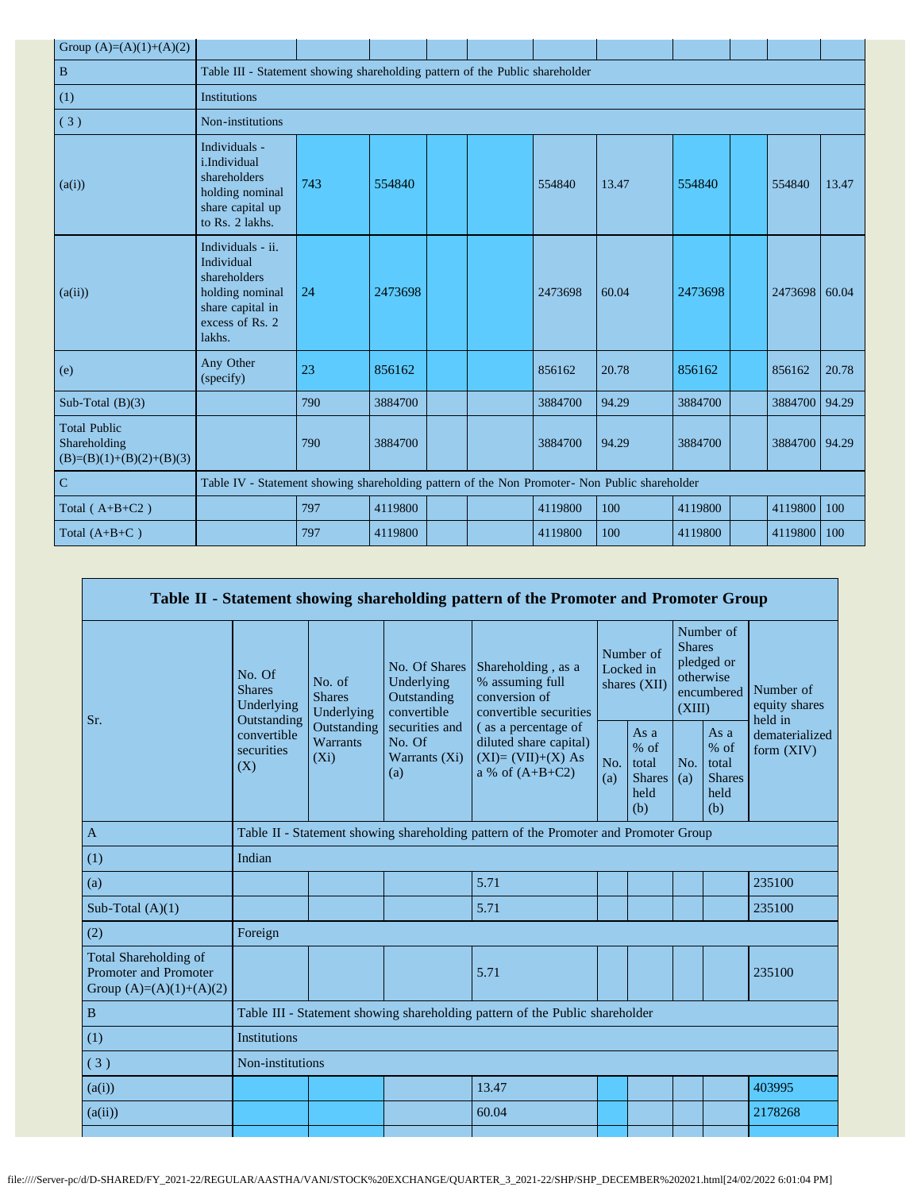| Group $(A)=(A)(1)+(A)(2)$                                         |                                                                                                                     |     |         |  |  |         |       |         |  |         |       |
|-------------------------------------------------------------------|---------------------------------------------------------------------------------------------------------------------|-----|---------|--|--|---------|-------|---------|--|---------|-------|
| $\overline{B}$                                                    | Table III - Statement showing shareholding pattern of the Public shareholder                                        |     |         |  |  |         |       |         |  |         |       |
| (1)                                                               | Institutions                                                                                                        |     |         |  |  |         |       |         |  |         |       |
| (3)                                                               | Non-institutions                                                                                                    |     |         |  |  |         |       |         |  |         |       |
| (a(i))                                                            | Individuals -<br>i.Individual<br>shareholders<br>holding nominal<br>share capital up<br>to Rs. 2 lakhs.             | 743 | 554840  |  |  | 554840  | 13.47 | 554840  |  | 554840  | 13.47 |
| (a(ii))                                                           | Individuals - ii.<br>Individual<br>shareholders<br>holding nominal<br>share capital in<br>excess of Rs. 2<br>lakhs. | 24  | 2473698 |  |  | 2473698 | 60.04 | 2473698 |  | 2473698 | 60.04 |
| (e)                                                               | Any Other<br>(specify)                                                                                              | 23  | 856162  |  |  | 856162  | 20.78 | 856162  |  | 856162  | 20.78 |
| Sub-Total $(B)(3)$                                                |                                                                                                                     | 790 | 3884700 |  |  | 3884700 | 94.29 | 3884700 |  | 3884700 | 94.29 |
| <b>Total Public</b><br>Shareholding<br>$(B)=(B)(1)+(B)(2)+(B)(3)$ |                                                                                                                     | 790 | 3884700 |  |  | 3884700 | 94.29 | 3884700 |  | 3884700 | 94.29 |
| $\overline{C}$                                                    | Table IV - Statement showing shareholding pattern of the Non Promoter- Non Public shareholder                       |     |         |  |  |         |       |         |  |         |       |
| Total ( $A+B+C2$ )                                                |                                                                                                                     | 797 | 4119800 |  |  | 4119800 | 100   | 4119800 |  | 4119800 | 100   |
| Total $(A+B+C)$                                                   |                                                                                                                     | 797 | 4119800 |  |  | 4119800 | 100   | 4119800 |  | 4119800 | 100   |

|                                                                                    | Table II - Statement showing shareholding pattern of the Promoter and Promoter Group |                                                                                      |                                                           |                                                                                           |            |                                                         |            |                                                                               |                                                                       |  |
|------------------------------------------------------------------------------------|--------------------------------------------------------------------------------------|--------------------------------------------------------------------------------------|-----------------------------------------------------------|-------------------------------------------------------------------------------------------|------------|---------------------------------------------------------|------------|-------------------------------------------------------------------------------|-----------------------------------------------------------------------|--|
|                                                                                    | No. Of<br><b>Shares</b><br>Underlying<br>Outstanding                                 | No. of<br><b>Shares</b><br>Underlying                                                | No. Of Shares<br>Underlying<br>Outstanding<br>convertible | Shareholding, as a<br>% assuming full<br>conversion of<br>convertible securities          |            | Number of<br>Locked in<br>shares $(XII)$                |            | Number of<br><b>Shares</b><br>pledged or<br>otherwise<br>encumbered<br>(XIII) | Number of<br>equity shares<br>held in<br>dematerialized<br>form (XIV) |  |
| Sr.                                                                                | Outstanding<br>convertible<br>Warrants<br>securities<br>$(X_i)$<br>(X)               |                                                                                      | securities and<br>No. Of<br>Warrants (Xi)<br>(a)          | (as a percentage of<br>diluted share capital)<br>$(XI)=(VII)+(X) As$<br>a % of $(A+B+C2)$ | No.<br>(a) | As a<br>$%$ of<br>total<br><b>Shares</b><br>held<br>(b) | No.<br>(a) | As a<br>$%$ of<br>total<br><b>Shares</b><br>held<br>(b)                       |                                                                       |  |
| $\mathbf{A}$                                                                       |                                                                                      | Table II - Statement showing shareholding pattern of the Promoter and Promoter Group |                                                           |                                                                                           |            |                                                         |            |                                                                               |                                                                       |  |
| (1)                                                                                | Indian                                                                               |                                                                                      |                                                           |                                                                                           |            |                                                         |            |                                                                               |                                                                       |  |
| (a)                                                                                |                                                                                      |                                                                                      |                                                           | 5.71                                                                                      |            |                                                         |            |                                                                               | 235100                                                                |  |
| Sub-Total $(A)(1)$                                                                 |                                                                                      |                                                                                      |                                                           | 5.71                                                                                      |            |                                                         |            |                                                                               | 235100                                                                |  |
| (2)                                                                                | Foreign                                                                              |                                                                                      |                                                           |                                                                                           |            |                                                         |            |                                                                               |                                                                       |  |
| <b>Total Shareholding of</b><br>Promoter and Promoter<br>Group $(A)=(A)(1)+(A)(2)$ |                                                                                      |                                                                                      |                                                           | 5.71                                                                                      |            |                                                         |            |                                                                               | 235100                                                                |  |
| $\, {\bf B}$                                                                       |                                                                                      |                                                                                      |                                                           | Table III - Statement showing shareholding pattern of the Public shareholder              |            |                                                         |            |                                                                               |                                                                       |  |
| (1)                                                                                | <b>Institutions</b>                                                                  |                                                                                      |                                                           |                                                                                           |            |                                                         |            |                                                                               |                                                                       |  |
| (3)                                                                                | Non-institutions                                                                     |                                                                                      |                                                           |                                                                                           |            |                                                         |            |                                                                               |                                                                       |  |
| (a(i))                                                                             |                                                                                      |                                                                                      |                                                           | 13.47                                                                                     |            |                                                         |            |                                                                               | 403995                                                                |  |
| (a(ii))                                                                            |                                                                                      |                                                                                      |                                                           | 60.04                                                                                     |            |                                                         |            |                                                                               | 2178268                                                               |  |
|                                                                                    |                                                                                      |                                                                                      |                                                           |                                                                                           |            |                                                         |            |                                                                               |                                                                       |  |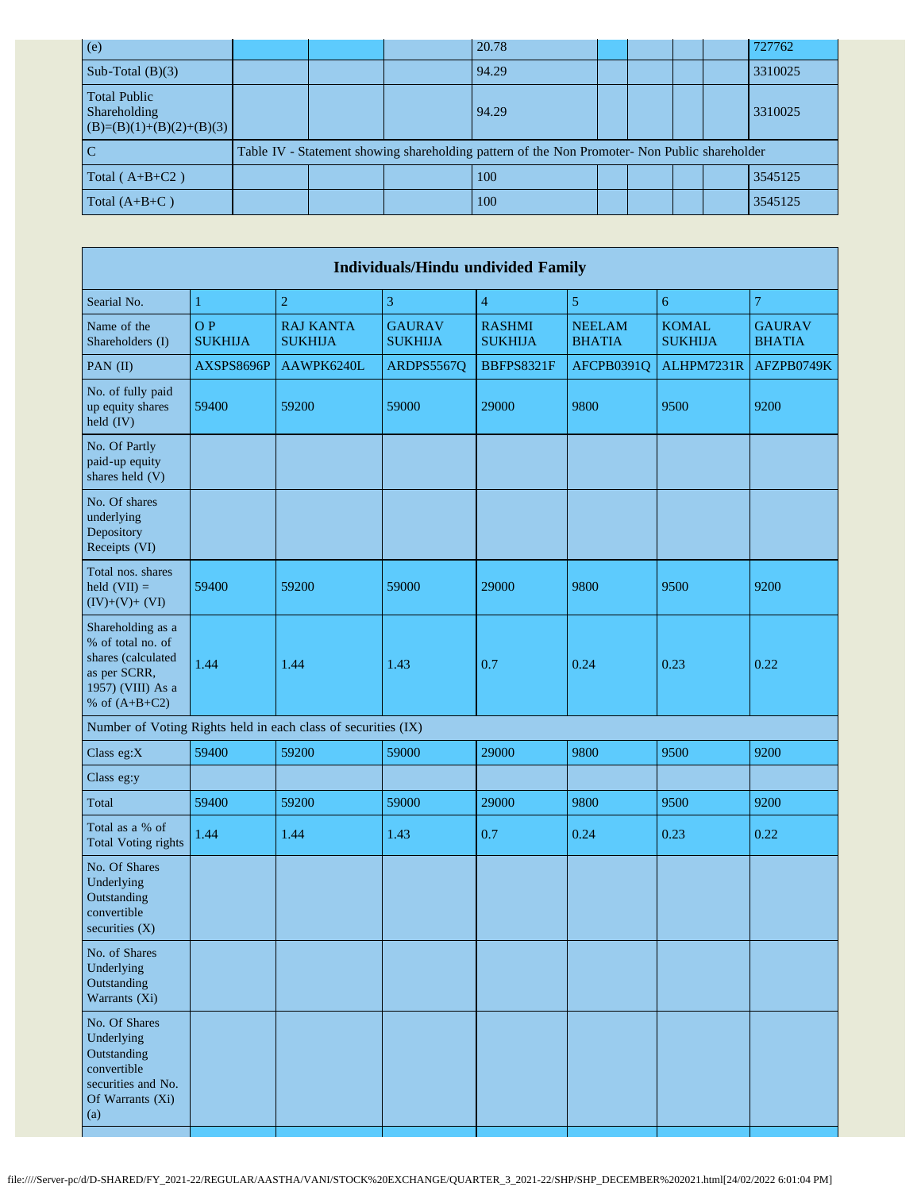| (e)                                                               |                                                                                               |  | 20.78 |  |  |  |  | 727762  |
|-------------------------------------------------------------------|-----------------------------------------------------------------------------------------------|--|-------|--|--|--|--|---------|
| Sub-Total $(B)(3)$                                                |                                                                                               |  | 94.29 |  |  |  |  | 3310025 |
| <b>Total Public</b><br>Shareholding<br>$(B)=(B)(1)+(B)(2)+(B)(3)$ |                                                                                               |  | 94.29 |  |  |  |  | 3310025 |
|                                                                   | Table IV - Statement showing shareholding pattern of the Non Promoter- Non Public shareholder |  |       |  |  |  |  |         |
| Total $(A+B+C2)$                                                  |                                                                                               |  | 100   |  |  |  |  | 3545125 |
| Total $(A+B+C)$                                                   |                                                                                               |  | 100   |  |  |  |  | 3545125 |

| <b>Individuals/Hindu undivided Family</b>                                                                            |                       |                                                               |                                 |                                 |                                |                                |                                |  |  |
|----------------------------------------------------------------------------------------------------------------------|-----------------------|---------------------------------------------------------------|---------------------------------|---------------------------------|--------------------------------|--------------------------------|--------------------------------|--|--|
| Searial No.                                                                                                          | $\mathbf{1}$          | $\overline{2}$                                                | 3                               | $\overline{4}$                  | $\sqrt{5}$                     | $\sqrt{6}$                     | 7                              |  |  |
| Name of the<br>Shareholders (I)                                                                                      | O P<br><b>SUKHIJA</b> | <b>RAJ KANTA</b><br><b>SUKHIJA</b>                            | <b>GAURAV</b><br><b>SUKHIJA</b> | <b>RASHMI</b><br><b>SUKHIJA</b> | <b>NEELAM</b><br><b>BHATIA</b> | <b>KOMAL</b><br><b>SUKHIJA</b> | <b>GAURAV</b><br><b>BHATIA</b> |  |  |
| PAN (II)                                                                                                             | AXSPS8696P            | AAWPK6240L                                                    | ARDPS5567Q                      | BBFPS8321F                      | AFCPB0391Q                     | ALHPM7231R                     | AFZPB0749K                     |  |  |
| No. of fully paid<br>up equity shares<br>held (IV)                                                                   | 59400                 | 59200                                                         | 59000                           | 29000                           | 9800                           | 9500                           | 9200                           |  |  |
| No. Of Partly<br>paid-up equity<br>shares held (V)                                                                   |                       |                                                               |                                 |                                 |                                |                                |                                |  |  |
| No. Of shares<br>underlying<br>Depository<br>Receipts (VI)                                                           |                       |                                                               |                                 |                                 |                                |                                |                                |  |  |
| Total nos. shares<br>held $(VII) =$<br>$(IV)+(V)+(VI)$                                                               | 59400                 | 59200                                                         | 59000                           | 29000                           | 9800                           | 9500                           | 9200                           |  |  |
| Shareholding as a<br>% of total no. of<br>shares (calculated<br>as per SCRR,<br>1957) (VIII) As a<br>% of $(A+B+C2)$ | 1.44                  | 1.44                                                          | 1.43                            | 0.7                             | 0.24                           | 0.23                           | 0.22                           |  |  |
|                                                                                                                      |                       | Number of Voting Rights held in each class of securities (IX) |                                 |                                 |                                |                                |                                |  |  |
| Class eg:X                                                                                                           | 59400                 | 59200                                                         | 59000                           | 29000                           | 9800                           | 9500                           | 9200                           |  |  |
| Class eg:y                                                                                                           |                       |                                                               |                                 |                                 |                                |                                |                                |  |  |
| Total                                                                                                                | 59400                 | 59200                                                         | 59000                           | 29000                           | 9800                           | 9500                           | 9200                           |  |  |
| Total as a % of<br><b>Total Voting rights</b>                                                                        | 1.44                  | 1.44                                                          | 1.43                            | 0.7                             | 0.24                           | 0.23                           | 0.22                           |  |  |
| No. Of Shares<br>Underlying<br>Outstanding<br>convertible<br>securities (X)                                          |                       |                                                               |                                 |                                 |                                |                                |                                |  |  |
| No. of Shares<br>Underlying<br>Outstanding<br>Warrants (Xi)                                                          |                       |                                                               |                                 |                                 |                                |                                |                                |  |  |
| No. Of Shares<br>Underlying<br>Outstanding<br>convertible<br>securities and No.<br>Of Warrants (Xi)<br>(a)           |                       |                                                               |                                 |                                 |                                |                                |                                |  |  |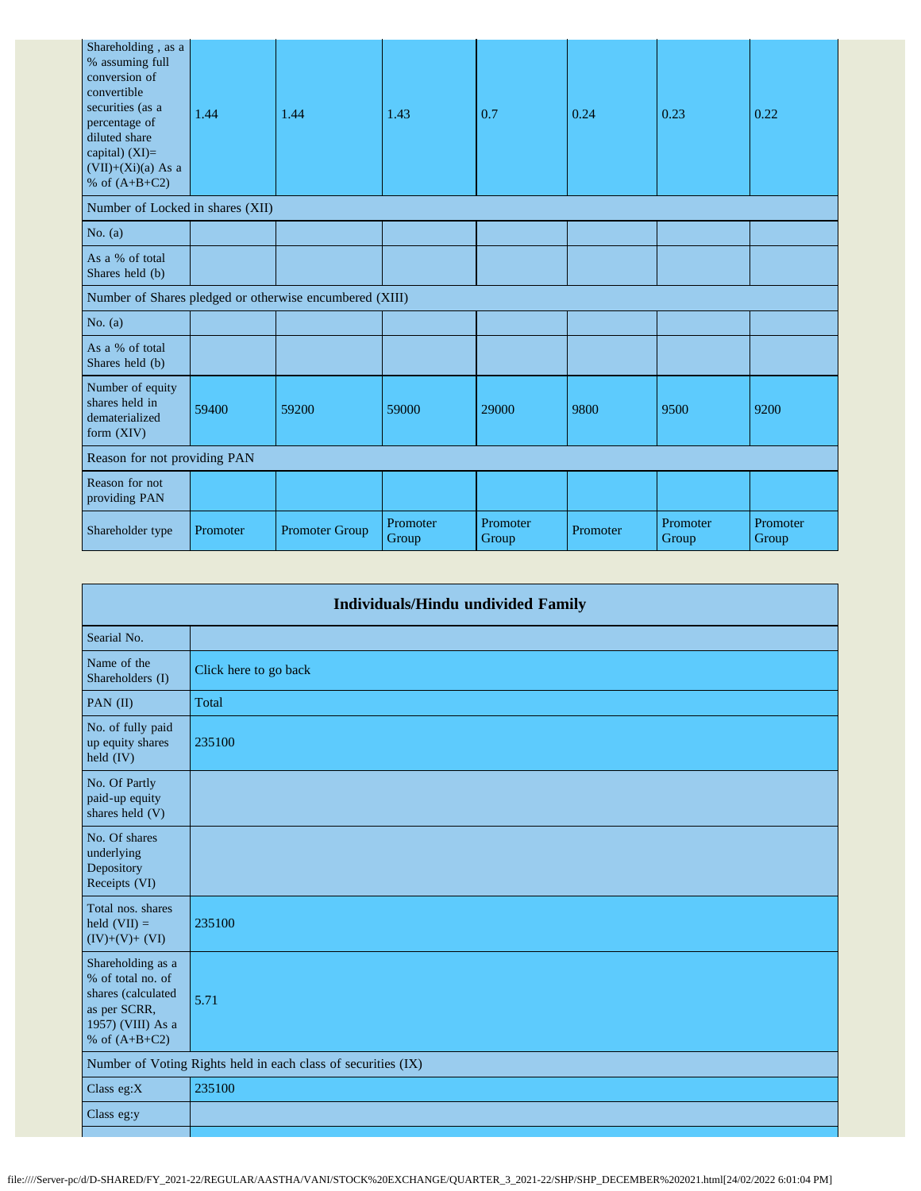| Shareholding, as a<br>% assuming full<br>conversion of<br>convertible<br>securities (as a<br>percentage of<br>diluted share<br>capital) $(XI)=$<br>$(VII)+(Xi)(a)$ As a<br>% of $(A+B+C2)$ | 1.44     | 1.44                                                    | 1.43              | 0.7               | 0.24     | 0.23              | 0.22              |
|--------------------------------------------------------------------------------------------------------------------------------------------------------------------------------------------|----------|---------------------------------------------------------|-------------------|-------------------|----------|-------------------|-------------------|
| Number of Locked in shares (XII)                                                                                                                                                           |          |                                                         |                   |                   |          |                   |                   |
| No. $(a)$                                                                                                                                                                                  |          |                                                         |                   |                   |          |                   |                   |
| As a % of total<br>Shares held (b)                                                                                                                                                         |          |                                                         |                   |                   |          |                   |                   |
|                                                                                                                                                                                            |          | Number of Shares pledged or otherwise encumbered (XIII) |                   |                   |          |                   |                   |
| No. $(a)$                                                                                                                                                                                  |          |                                                         |                   |                   |          |                   |                   |
| As a % of total<br>Shares held (b)                                                                                                                                                         |          |                                                         |                   |                   |          |                   |                   |
| Number of equity<br>shares held in<br>dematerialized<br>form (XIV)                                                                                                                         | 59400    | 59200                                                   | 59000             | 29000             | 9800     | 9500              | 9200              |
| Reason for not providing PAN                                                                                                                                                               |          |                                                         |                   |                   |          |                   |                   |
| Reason for not<br>providing PAN                                                                                                                                                            |          |                                                         |                   |                   |          |                   |                   |
| Shareholder type                                                                                                                                                                           | Promoter | <b>Promoter Group</b>                                   | Promoter<br>Group | Promoter<br>Group | Promoter | Promoter<br>Group | Promoter<br>Group |

|                                                                                                                      | Individuals/Hindu undivided Family                            |
|----------------------------------------------------------------------------------------------------------------------|---------------------------------------------------------------|
| Searial No.                                                                                                          |                                                               |
| Name of the<br>Shareholders (I)                                                                                      | Click here to go back                                         |
| PAN (II)                                                                                                             | Total                                                         |
| No. of fully paid<br>up equity shares<br>held (IV)                                                                   | 235100                                                        |
| No. Of Partly<br>paid-up equity<br>shares held (V)                                                                   |                                                               |
| No. Of shares<br>underlying<br>Depository<br>Receipts (VI)                                                           |                                                               |
| Total nos. shares<br>held $(VII) =$<br>$(IV)+(V)+(VI)$                                                               | 235100                                                        |
| Shareholding as a<br>% of total no. of<br>shares (calculated<br>as per SCRR,<br>1957) (VIII) As a<br>% of $(A+B+C2)$ | 5.71                                                          |
|                                                                                                                      | Number of Voting Rights held in each class of securities (IX) |
| Class $eg:X$                                                                                                         | 235100                                                        |
| Class eg:y                                                                                                           |                                                               |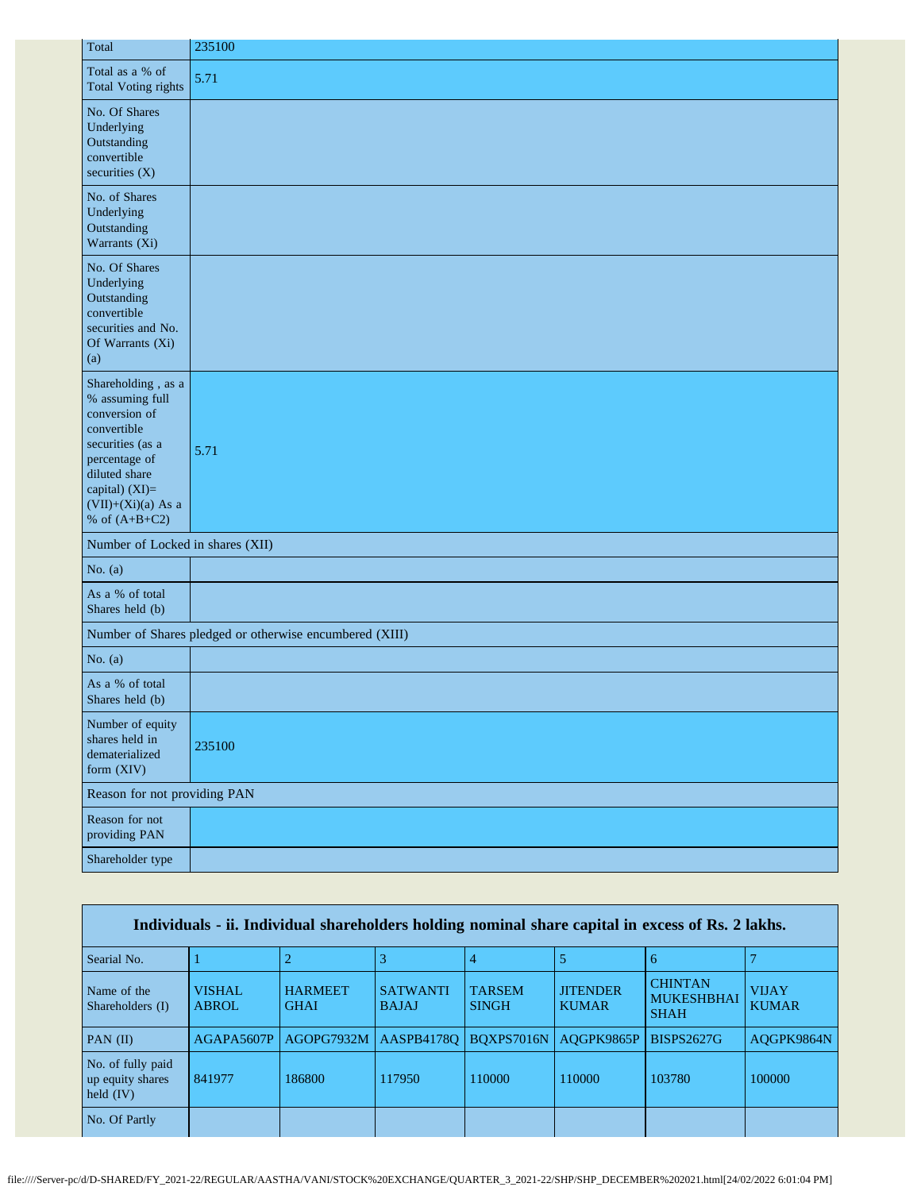| Total                                                                                                                                                                                    | 235100                                                  |
|------------------------------------------------------------------------------------------------------------------------------------------------------------------------------------------|---------------------------------------------------------|
| Total as a % of<br>Total Voting rights                                                                                                                                                   | 5.71                                                    |
| No. Of Shares<br>Underlying<br>Outstanding<br>convertible<br>securities (X)                                                                                                              |                                                         |
| No. of Shares<br>Underlying<br>Outstanding<br>Warrants (Xi)                                                                                                                              |                                                         |
| No. Of Shares<br>Underlying<br>Outstanding<br>convertible<br>securities and No.<br>Of Warrants (Xi)<br>(a)                                                                               |                                                         |
| Shareholding, as a<br>% assuming full<br>conversion of<br>convertible<br>securities (as a<br>percentage of<br>diluted share<br>capital) (XI)=<br>$(VII)+(Xi)(a)$ As a<br>% of $(A+B+C2)$ | 5.71                                                    |
| Number of Locked in shares (XII)                                                                                                                                                         |                                                         |
| No. $(a)$                                                                                                                                                                                |                                                         |
| As a % of total<br>Shares held (b)                                                                                                                                                       |                                                         |
|                                                                                                                                                                                          | Number of Shares pledged or otherwise encumbered (XIII) |
| No. $(a)$                                                                                                                                                                                |                                                         |
| As a % of total<br>Shares held (b)                                                                                                                                                       |                                                         |
| Number of equity<br>shares held in<br>dematerialized<br>form (XIV)                                                                                                                       | 235100                                                  |
| Reason for not providing PAN                                                                                                                                                             |                                                         |
| Reason for not<br>providing PAN                                                                                                                                                          |                                                         |
| Shareholder type                                                                                                                                                                         |                                                         |

| Individuals - ii. Individual shareholders holding nominal share capital in excess of Rs. 2 lakhs. |                               |                               |                                 |                               |                                 |                                                    |                              |  |
|---------------------------------------------------------------------------------------------------|-------------------------------|-------------------------------|---------------------------------|-------------------------------|---------------------------------|----------------------------------------------------|------------------------------|--|
| Searial No.                                                                                       |                               | ∠                             |                                 |                               |                                 | 6                                                  |                              |  |
| Name of the<br>Shareholders (I)                                                                   | <b>VISHAL</b><br><b>ABROL</b> | <b>HARMEET</b><br><b>GHAI</b> | <b>SATWANTI</b><br><b>BAJAJ</b> | <b>TARSEM</b><br><b>SINGH</b> | <b>JITENDER</b><br><b>KUMAR</b> | <b>CHINTAN</b><br><b>MUKESHBHAI</b><br><b>SHAH</b> | <b>VIJAY</b><br><b>KUMAR</b> |  |
| PAN $(II)$                                                                                        | AGAPA5607P                    | AGOPG7932M                    | AASPB41780                      | BOXPS7016N                    | AOGPK9865P                      | <b>BISPS2627G</b>                                  | AOGPK9864N                   |  |
| No. of fully paid<br>up equity shares<br>held $(IV)$                                              | 841977                        | 186800                        | 117950                          | 110000                        | 110000                          | 103780                                             | 100000                       |  |
| No. Of Partly                                                                                     |                               |                               |                                 |                               |                                 |                                                    |                              |  |

×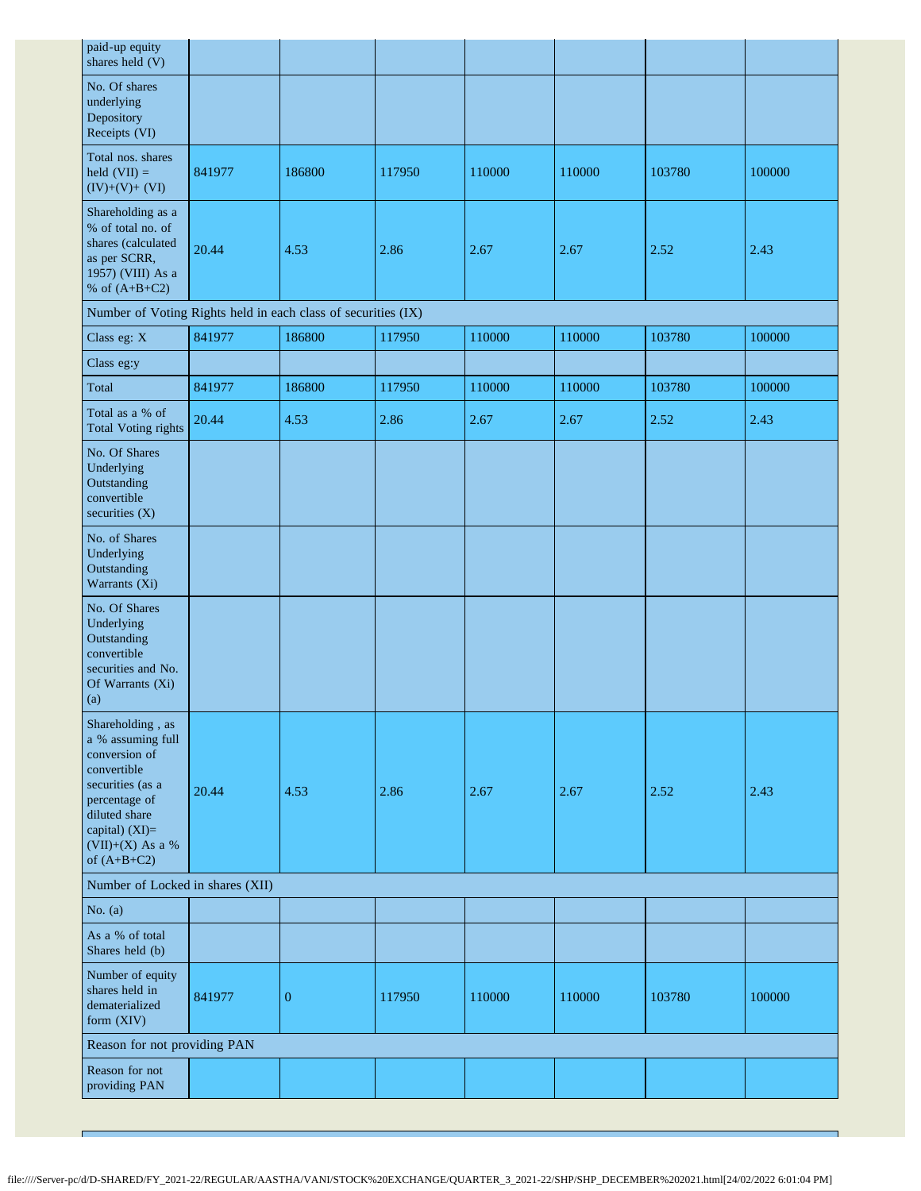| paid-up equity<br>shares held (V)                                                                                                                                                    |        |                  |        |        |        |        |        |  |
|--------------------------------------------------------------------------------------------------------------------------------------------------------------------------------------|--------|------------------|--------|--------|--------|--------|--------|--|
| No. Of shares<br>underlying<br>Depository<br>Receipts (VI)                                                                                                                           |        |                  |        |        |        |        |        |  |
| Total nos. shares<br>held $(VII) =$<br>$(IV)+(V)+(VI)$                                                                                                                               | 841977 | 186800           | 117950 | 110000 | 110000 | 103780 | 100000 |  |
| Shareholding as a<br>% of total no. of<br>shares (calculated<br>as per SCRR,<br>1957) (VIII) As a<br>% of $(A+B+C2)$                                                                 | 20.44  | 4.53             | 2.86   | 2.67   | 2.67   | 2.52   | 2.43   |  |
| Number of Voting Rights held in each class of securities (IX)                                                                                                                        |        |                  |        |        |        |        |        |  |
| Class eg: X                                                                                                                                                                          | 841977 | 186800           | 117950 | 110000 | 110000 | 103780 | 100000 |  |
| Class eg:y                                                                                                                                                                           |        |                  |        |        |        |        |        |  |
| Total                                                                                                                                                                                | 841977 | 186800           | 117950 | 110000 | 110000 | 103780 | 100000 |  |
| Total as a % of<br>Total Voting rights                                                                                                                                               | 20.44  | 4.53             | 2.86   | 2.67   | 2.67   | 2.52   | 2.43   |  |
| No. Of Shares<br>Underlying<br>Outstanding<br>convertible<br>securities (X)                                                                                                          |        |                  |        |        |        |        |        |  |
| No. of Shares<br>Underlying<br>Outstanding<br>Warrants (Xi)                                                                                                                          |        |                  |        |        |        |        |        |  |
| No. Of Shares<br>Underlying<br>Outstanding<br>convertible<br>securities and No.<br>Of Warrants (Xi)<br>(a)                                                                           |        |                  |        |        |        |        |        |  |
| Shareholding, as<br>a % assuming full<br>conversion of<br>convertible<br>securities (as a<br>percentage of<br>diluted share<br>capital) (XI)=<br>$(VII)+(X)$ As a %<br>of $(A+B+C2)$ | 20.44  | 4.53             | 2.86   | 2.67   | 2.67   | 2.52   | 2.43   |  |
| Number of Locked in shares (XII)                                                                                                                                                     |        |                  |        |        |        |        |        |  |
| No. $(a)$                                                                                                                                                                            |        |                  |        |        |        |        |        |  |
| As a % of total<br>Shares held (b)                                                                                                                                                   |        |                  |        |        |        |        |        |  |
| Number of equity<br>shares held in<br>dematerialized<br>form (XIV)                                                                                                                   | 841977 | $\boldsymbol{0}$ | 117950 | 110000 | 110000 | 103780 | 100000 |  |
| Reason for not providing PAN                                                                                                                                                         |        |                  |        |        |        |        |        |  |
| Reason for not<br>providing PAN                                                                                                                                                      |        |                  |        |        |        |        |        |  |

T.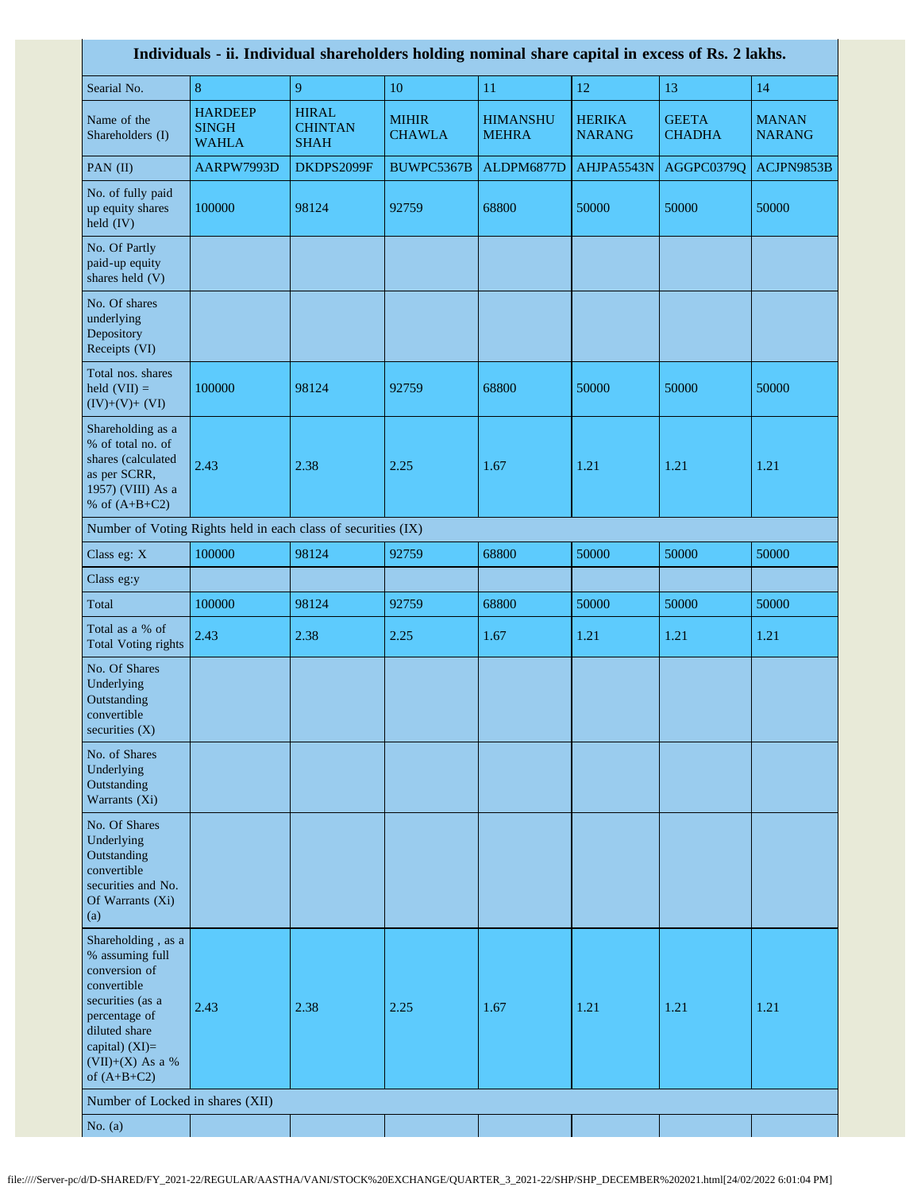| Individuals - ii. Individual shareholders holding nominal share capital in excess of Rs. 2 lakhs.                                                                                    |                                                |                                               |                               |                                 |                                |                               |                               |
|--------------------------------------------------------------------------------------------------------------------------------------------------------------------------------------|------------------------------------------------|-----------------------------------------------|-------------------------------|---------------------------------|--------------------------------|-------------------------------|-------------------------------|
| Searial No.                                                                                                                                                                          | $\bf 8$                                        | 9                                             | 10                            | 11                              | $12\,$                         | 13                            | 14                            |
| Name of the<br>Shareholders (I)                                                                                                                                                      | <b>HARDEEP</b><br><b>SINGH</b><br><b>WAHLA</b> | <b>HIRAL</b><br><b>CHINTAN</b><br><b>SHAH</b> | <b>MIHIR</b><br><b>CHAWLA</b> | <b>HIMANSHU</b><br><b>MEHRA</b> | <b>HERIKA</b><br><b>NARANG</b> | <b>GEETA</b><br><b>CHADHA</b> | <b>MANAN</b><br><b>NARANG</b> |
| PAN $(II)$                                                                                                                                                                           | AARPW7993D                                     | DKDPS2099F                                    | BUWPC5367B                    | ALDPM6877D                      | AHJPA5543N                     | AGGPC0379Q                    | ACJPN9853B                    |
| No. of fully paid<br>up equity shares<br>held (IV)                                                                                                                                   | 100000                                         | 98124                                         | 92759                         | 68800                           | 50000                          | 50000                         | 50000                         |
| No. Of Partly<br>paid-up equity<br>shares held (V)                                                                                                                                   |                                                |                                               |                               |                                 |                                |                               |                               |
| No. Of shares<br>underlying<br>Depository<br>Receipts (VI)                                                                                                                           |                                                |                                               |                               |                                 |                                |                               |                               |
| Total nos. shares<br>held $(VII) =$<br>$(IV)+(V)+(VI)$                                                                                                                               | 100000                                         | 98124                                         | 92759                         | 68800                           | 50000                          | 50000                         | 50000                         |
| Shareholding as a<br>% of total no. of<br>shares (calculated<br>as per SCRR,<br>1957) (VIII) As a<br>% of $(A+B+C2)$                                                                 | 2.43                                           | 2.38                                          | 2.25                          | 1.67                            | 1.21                           | 1.21                          | 1.21                          |
| Number of Voting Rights held in each class of securities (IX)                                                                                                                        |                                                |                                               |                               |                                 |                                |                               |                               |
| Class eg: X                                                                                                                                                                          | 100000                                         | 98124                                         | 92759                         | 68800                           | 50000                          | 50000                         | 50000                         |
| Class eg:y                                                                                                                                                                           |                                                |                                               |                               |                                 |                                |                               |                               |
| Total                                                                                                                                                                                | 100000                                         | 98124                                         | 92759                         | 68800                           | 50000                          | 50000                         | 50000                         |
| Total as a % of<br><b>Total Voting rights</b>                                                                                                                                        | 2.43                                           | 2.38                                          | 2.25                          | 1.67                            | 1.21                           | 1.21                          | 1.21                          |
| No. Of Shares<br>Underlying<br>Outstanding<br>convertible<br>securities $(X)$                                                                                                        |                                                |                                               |                               |                                 |                                |                               |                               |
| No. of Shares<br>Underlying<br>Outstanding<br>Warrants (Xi)                                                                                                                          |                                                |                                               |                               |                                 |                                |                               |                               |
| No. Of Shares<br>Underlying<br>Outstanding<br>convertible<br>securities and No.<br>Of Warrants (Xi)<br>(a)                                                                           |                                                |                                               |                               |                                 |                                |                               |                               |
| Shareholding, as a<br>% assuming full<br>conversion of<br>convertible<br>securities (as a<br>percentage of<br>diluted share<br>capital) $(XI)=$<br>(VII)+(X) As a %<br>of $(A+B+C2)$ | 2.43                                           | 2.38                                          | 2.25                          | 1.67                            | 1.21                           | 1.21                          | 1.21                          |
| Number of Locked in shares (XII)                                                                                                                                                     |                                                |                                               |                               |                                 |                                |                               |                               |
| No. $(a)$                                                                                                                                                                            |                                                |                                               |                               |                                 |                                |                               |                               |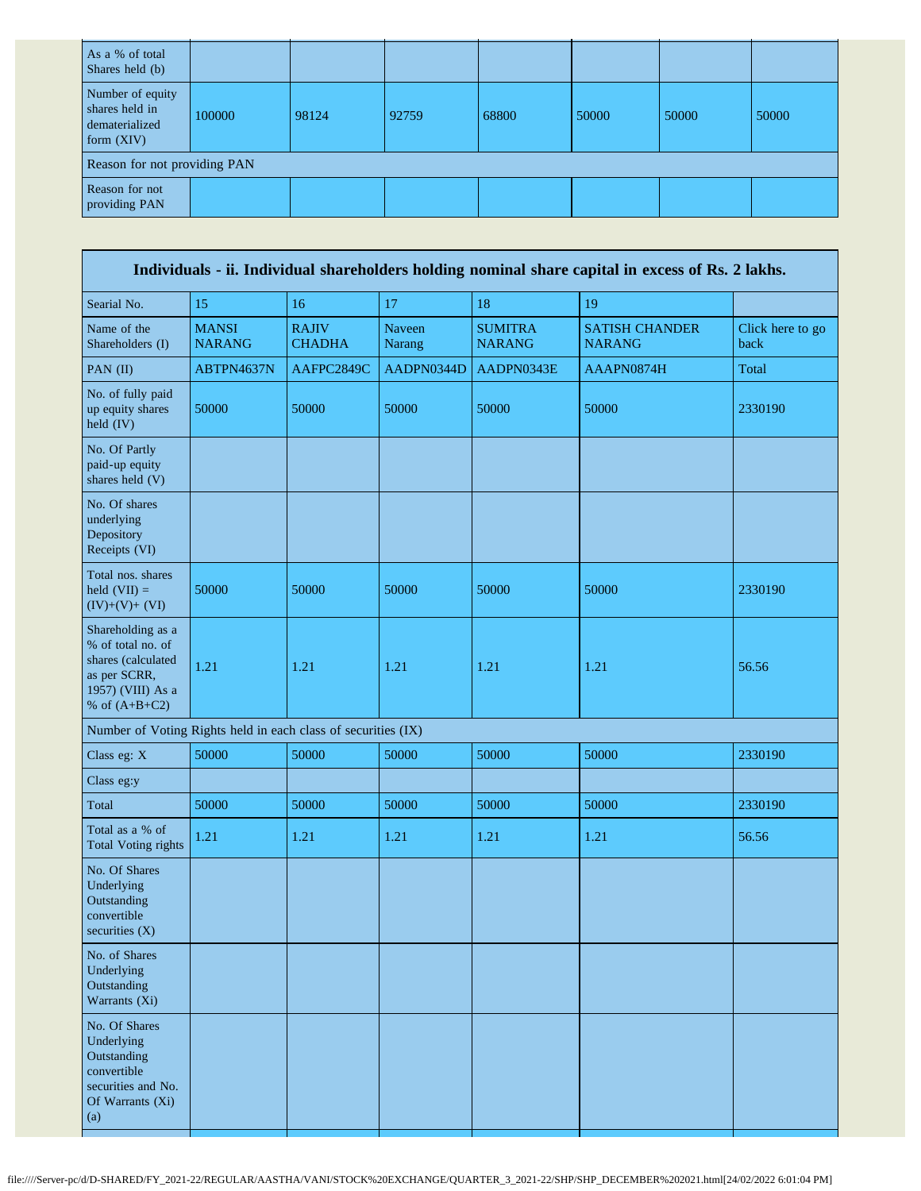| As a % of total<br>Shares held (b)                                   |        |       |       |       |       |       |       |
|----------------------------------------------------------------------|--------|-------|-------|-------|-------|-------|-------|
| Number of equity<br>shares held in<br>dematerialized<br>form $(XIV)$ | 100000 | 98124 | 92759 | 68800 | 50000 | 50000 | 50000 |
| Reason for not providing PAN                                         |        |       |       |       |       |       |       |
| Reason for not<br>providing PAN                                      |        |       |       |       |       |       |       |

| Individuals - ii. Individual shareholders holding nominal share capital in excess of Rs. 2 lakhs.                    |                               |                               |                         |                                 |                                        |                          |  |  |
|----------------------------------------------------------------------------------------------------------------------|-------------------------------|-------------------------------|-------------------------|---------------------------------|----------------------------------------|--------------------------|--|--|
| Searial No.                                                                                                          | 15                            | 16                            | 17                      | 18                              | 19                                     |                          |  |  |
| Name of the<br>Shareholders (I)                                                                                      | <b>MANSI</b><br><b>NARANG</b> | <b>RAJIV</b><br><b>CHADHA</b> | <b>Naveen</b><br>Narang | <b>SUMITRA</b><br><b>NARANG</b> | <b>SATISH CHANDER</b><br><b>NARANG</b> | Click here to go<br>back |  |  |
| PAN (II)                                                                                                             | ABTPN4637N                    | AAFPC2849C                    | AADPN0344D              | AADPN0343E                      | AAAPN0874H                             | Total                    |  |  |
| No. of fully paid<br>up equity shares<br>held (IV)                                                                   | 50000                         | 50000                         | 50000                   | 50000                           | 50000                                  | 2330190                  |  |  |
| No. Of Partly<br>paid-up equity<br>shares held (V)                                                                   |                               |                               |                         |                                 |                                        |                          |  |  |
| No. Of shares<br>underlying<br>Depository<br>Receipts (VI)                                                           |                               |                               |                         |                                 |                                        |                          |  |  |
| Total nos. shares<br>held $(VII) =$<br>$(IV)+(V)+(VI)$                                                               | 50000                         | 50000                         | 50000                   | 50000                           | 50000                                  | 2330190                  |  |  |
| Shareholding as a<br>% of total no. of<br>shares (calculated<br>as per SCRR,<br>1957) (VIII) As a<br>% of $(A+B+C2)$ | 1.21                          | 1.21                          | 1.21                    | 1.21                            | 1.21                                   | 56.56                    |  |  |
| Number of Voting Rights held in each class of securities (IX)                                                        |                               |                               |                         |                                 |                                        |                          |  |  |
| Class eg: X                                                                                                          | 50000                         | 50000                         | 50000                   | 50000                           | 50000                                  | 2330190                  |  |  |
| Class eg:y                                                                                                           |                               |                               |                         |                                 |                                        |                          |  |  |
| Total                                                                                                                | 50000                         | 50000                         | 50000                   | 50000                           | 50000                                  | 2330190                  |  |  |
| Total as a % of<br><b>Total Voting rights</b>                                                                        | 1.21                          | 1.21                          | 1.21                    | 1.21                            | 1.21                                   | 56.56                    |  |  |
| No. Of Shares<br>Underlying<br>Outstanding<br>convertible<br>securities $(X)$                                        |                               |                               |                         |                                 |                                        |                          |  |  |
| No. of Shares<br>Underlying<br>Outstanding<br>Warrants (Xi)                                                          |                               |                               |                         |                                 |                                        |                          |  |  |
| No. Of Shares<br>Underlying<br>Outstanding<br>convertible<br>securities and No.<br>Of Warrants (Xi)<br>(a)           |                               |                               |                         |                                 |                                        |                          |  |  |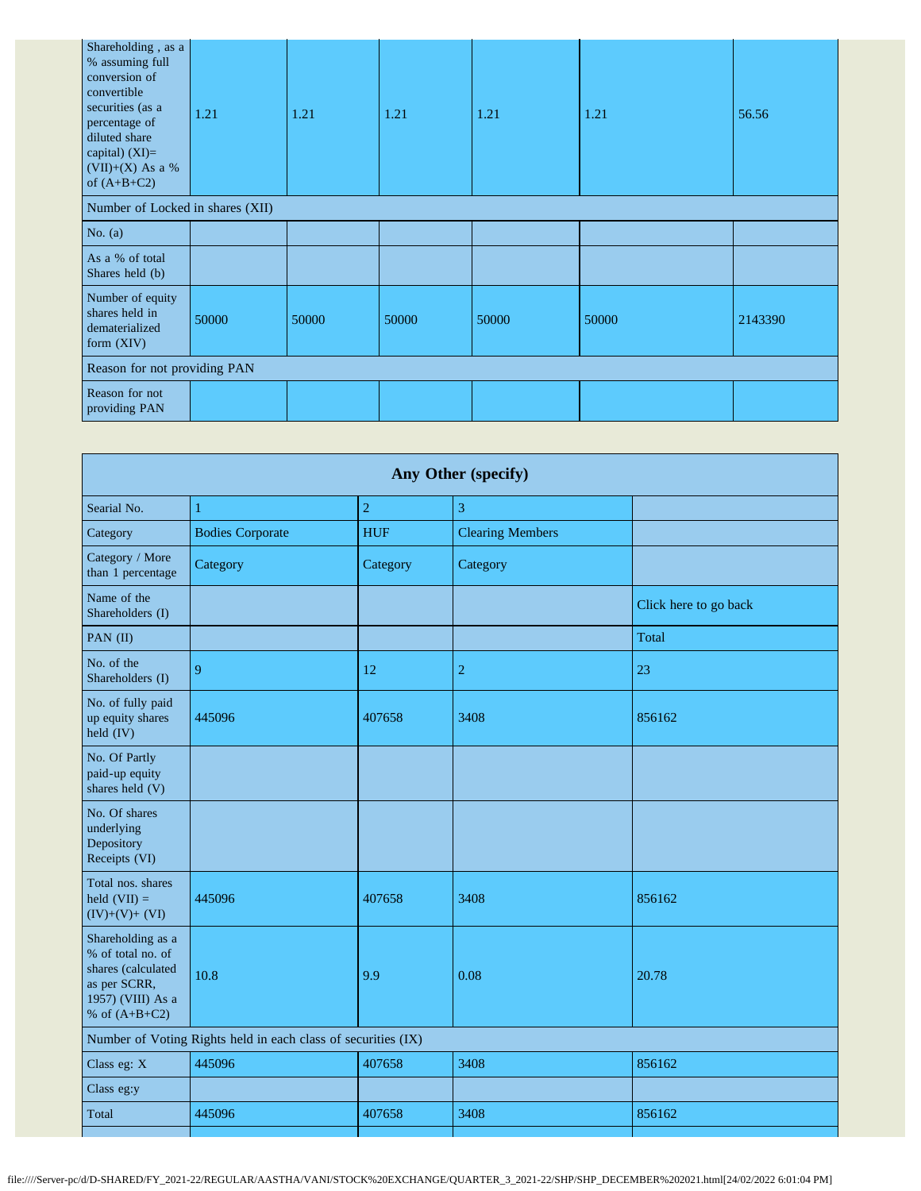| Shareholding, as a<br>% assuming full<br>conversion of<br>convertible<br>securities (as a<br>percentage of<br>diluted share<br>capital) $(XI)=$<br>$(VII)+(X)$ As a %<br>of $(A+B+C2)$ | 1.21  | 1.21  | 1.21  | 1.21  | 1.21  | 56.56   |  |  |
|----------------------------------------------------------------------------------------------------------------------------------------------------------------------------------------|-------|-------|-------|-------|-------|---------|--|--|
| Number of Locked in shares (XII)                                                                                                                                                       |       |       |       |       |       |         |  |  |
| No. $(a)$                                                                                                                                                                              |       |       |       |       |       |         |  |  |
| As a % of total<br>Shares held (b)                                                                                                                                                     |       |       |       |       |       |         |  |  |
| Number of equity<br>shares held in<br>dematerialized<br>form $(XIV)$                                                                                                                   | 50000 | 50000 | 50000 | 50000 | 50000 | 2143390 |  |  |
| Reason for not providing PAN                                                                                                                                                           |       |       |       |       |       |         |  |  |
| Reason for not<br>providing PAN                                                                                                                                                        |       |       |       |       |       |         |  |  |

| Any Other (specify)                                                                                                  |                                                               |                |                         |                       |  |  |  |  |
|----------------------------------------------------------------------------------------------------------------------|---------------------------------------------------------------|----------------|-------------------------|-----------------------|--|--|--|--|
| Searial No.                                                                                                          | 1                                                             | $\overline{c}$ | 3                       |                       |  |  |  |  |
| Category                                                                                                             | <b>Bodies Corporate</b>                                       | <b>HUF</b>     | <b>Clearing Members</b> |                       |  |  |  |  |
| Category / More<br>than 1 percentage                                                                                 | Category                                                      | Category       | Category                |                       |  |  |  |  |
| Name of the<br>Shareholders (I)                                                                                      |                                                               |                |                         | Click here to go back |  |  |  |  |
| PAN (II)                                                                                                             |                                                               |                |                         | Total                 |  |  |  |  |
| No. of the<br>Shareholders (I)                                                                                       | 9                                                             | 12             | $\overline{2}$          | 23                    |  |  |  |  |
| No. of fully paid<br>up equity shares<br>$held$ (IV)                                                                 | 445096                                                        | 407658         | 3408                    | 856162                |  |  |  |  |
| No. Of Partly<br>paid-up equity<br>shares held (V)                                                                   |                                                               |                |                         |                       |  |  |  |  |
| No. Of shares<br>underlying<br>Depository<br>Receipts (VI)                                                           |                                                               |                |                         |                       |  |  |  |  |
| Total nos. shares<br>held $(VII) =$<br>$(IV)+(V)+(VI)$                                                               | 445096                                                        | 407658         | 3408                    | 856162                |  |  |  |  |
| Shareholding as a<br>% of total no. of<br>shares (calculated<br>as per SCRR,<br>1957) (VIII) As a<br>% of $(A+B+C2)$ | 10.8                                                          | 9.9            | 0.08                    | 20.78                 |  |  |  |  |
|                                                                                                                      | Number of Voting Rights held in each class of securities (IX) |                |                         |                       |  |  |  |  |
| Class eg: X                                                                                                          | 445096                                                        | 407658         | 3408                    | 856162                |  |  |  |  |
| Class eg:y                                                                                                           |                                                               |                |                         |                       |  |  |  |  |
| Total                                                                                                                | 445096                                                        | 407658         | 3408                    | 856162                |  |  |  |  |
|                                                                                                                      |                                                               |                |                         |                       |  |  |  |  |